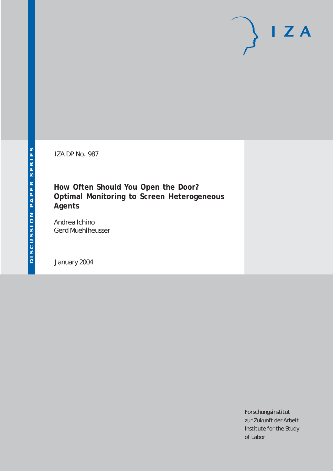IZA DP No. 987

### **How Often Should You Open the Door? Optimal Monitoring to Screen Heterogeneous Agents**

Andrea Ichino Gerd Muehlheusser

January 2004

Forschungsinstitut zur Zukunft der Arbeit Institute for the Study of Labor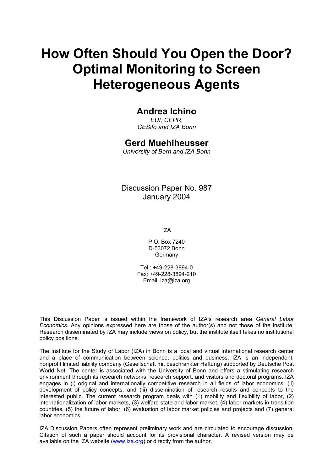# **How Often Should You Open the Door? Optimal Monitoring to Screen Heterogeneous Agents**

#### **Andrea Ichino**

*EUI, CEPR, CESifo and IZA Bonn* 

#### **Gerd Muehlheusser**

*University of Bern and IZA Bonn* 

Discussion Paper No. 987 January 2004

IZA

P.O. Box 7240 D-53072 Bonn Germany

 $Tel + 49-228-3894-0$ Fax: +49-228-3894-210 Email: [iza@iza.org](mailto:iza@iza.org)

This Discussion Paper is issued within the framework of IZA's research area *General Labor Economics.* Any opinions expressed here are those of the author(s) and not those of the institute. Research disseminated by IZA may include views on policy, but the institute itself takes no institutional policy positions.

The Institute for the Study of Labor (IZA) in Bonn is a local and virtual international research center and a place of communication between science, politics and business. IZA is an independent, nonprofit limited liability company (Gesellschaft mit beschränkter Haftung) supported by Deutsche Post World Net. The center is associated with the University of Bonn and offers a stimulating research environment through its research networks, research support, and visitors and doctoral programs. IZA engages in (i) original and internationally competitive research in all fields of labor economics, (ii) development of policy concepts, and (iii) dissemination of research results and concepts to the interested public. The current research program deals with (1) mobility and flexibility of labor, (2) internationalization of labor markets, (3) welfare state and labor market, (4) labor markets in transition countries, (5) the future of labor, (6) evaluation of labor market policies and projects and (7) general labor economics.

IZA Discussion Papers often represent preliminary work and are circulated to encourage discussion. Citation of such a paper should account for its provisional character. A revised version may be available on the IZA website ([www.iza.org](http://www.iza.org/)) or directly from the author.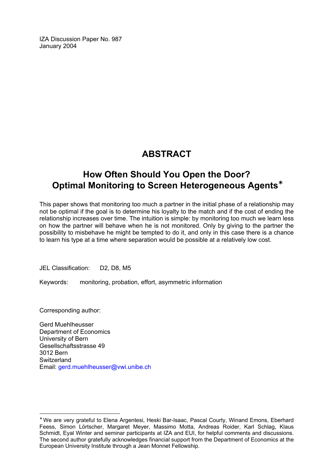IZA Discussion Paper No. 987 January 2004

## **ABSTRACT**

### **How Often Should You Open the Door? Optimal Monitoring to Screen Heterogeneous Agents**[∗](#page-2-0)

This paper shows that monitoring too much a partner in the initial phase of a relationship may not be optimal if the goal is to determine his loyalty to the match and if the cost of ending the relationship increases over time. The intuition is simple: by monitoring too much we learn less on how the partner will behave when he is not monitored. Only by giving to the partner the possibility to misbehave he might be tempted to do it, and only in this case there is a chance to learn his type at a time where separation would be possible at a relatively low cost.

JEL Classification: D2, D8, M5

Keywords: monitoring, probation, effort, asymmetric information

Corresponding author:

 $\overline{a}$ 

Gerd Muehlheusser Department of Economics University of Bern Gesellschaftsstrasse 49 3012 Bern **Switzerland** Email: [gerd.muehlheusser@vwi.unibe.ch](mailto:gerd.muehlheusser@vwi.unibe.ch)

<span id="page-2-0"></span><sup>∗</sup> We are very grateful to Elena Argentesi, Heski Bar-Isaac, Pascal Courty, Winand Emons, Eberhard Feess, Simon Lörtscher, Margaret Meyer, Massimo Motta, Andreas Roider, Karl Schlag, Klaus Schmidt, Eyal Winter and seminar participants at IZA and EUI, for helpful comments and discussions. The second author gratefully acknowledges financial support from the Department of Economics at the European University Institute through a Jean Monnet Fellowship.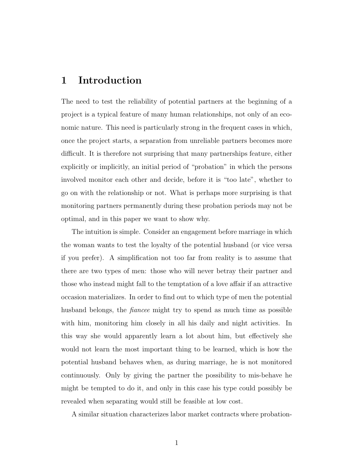### 1 Introduction

The need to test the reliability of potential partners at the beginning of a project is a typical feature of many human relationships, not only of an economic nature. This need is particularly strong in the frequent cases in which, once the project starts, a separation from unreliable partners becomes more difficult. It is therefore not surprising that many partnerships feature, either explicitly or implicitly, an initial period of "probation" in which the persons involved monitor each other and decide, before it is "too late", whether to go on with the relationship or not. What is perhaps more surprising is that monitoring partners permanently during these probation periods may not be optimal, and in this paper we want to show why.

The intuition is simple. Consider an engagement before marriage in which the woman wants to test the loyalty of the potential husband (or vice versa if you prefer). A simplification not too far from reality is to assume that there are two types of men: those who will never betray their partner and those who instead might fall to the temptation of a love affair if an attractive occasion materializes. In order to find out to which type of men the potential husband belongs, the fiancee might try to spend as much time as possible with him, monitoring him closely in all his daily and night activities. In this way she would apparently learn a lot about him, but effectively she would not learn the most important thing to be learned, which is how the potential husband behaves when, as during marriage, he is not monitored continuously. Only by giving the partner the possibility to mis-behave he might be tempted to do it, and only in this case his type could possibly be revealed when separating would still be feasible at low cost.

A similar situation characterizes labor market contracts where probation-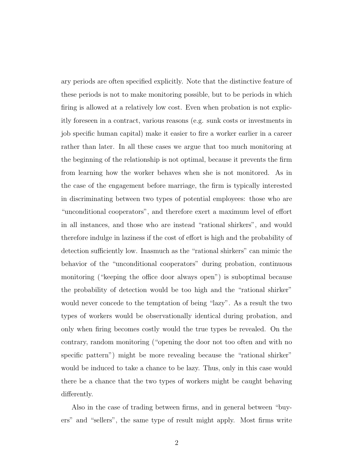ary periods are often specified explicitly. Note that the distinctive feature of these periods is not to make monitoring possible, but to be periods in which firing is allowed at a relatively low cost. Even when probation is not explicitly foreseen in a contract, various reasons (e.g. sunk costs or investments in job specific human capital) make it easier to fire a worker earlier in a career rather than later. In all these cases we argue that too much monitoring at the beginning of the relationship is not optimal, because it prevents the firm from learning how the worker behaves when she is not monitored. As in the case of the engagement before marriage, the firm is typically interested in discriminating between two types of potential employees: those who are "unconditional cooperators", and therefore exert a maximum level of effort in all instances, and those who are instead "rational shirkers", and would therefore indulge in laziness if the cost of effort is high and the probability of detection sufficiently low. Inasmuch as the "rational shirkers" can mimic the behavior of the "unconditional cooperators" during probation, continuous monitoring ("keeping the office door always open") is suboptimal because the probability of detection would be too high and the "rational shirker" would never concede to the temptation of being "lazy". As a result the two types of workers would be observationally identical during probation, and only when firing becomes costly would the true types be revealed. On the contrary, random monitoring ("opening the door not too often and with no specific pattern") might be more revealing because the "rational shirker" would be induced to take a chance to be lazy. Thus, only in this case would there be a chance that the two types of workers might be caught behaving differently.

Also in the case of trading between firms, and in general between "buyers" and "sellers", the same type of result might apply. Most firms write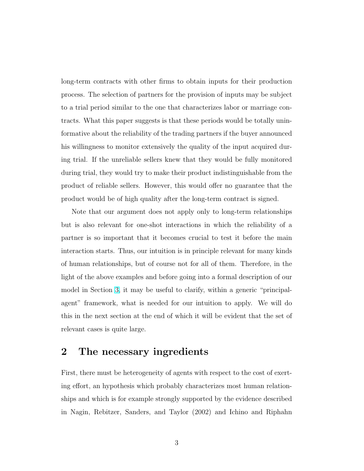long-term contracts with other firms to obtain inputs for their production process. The selection of partners for the provision of inputs may be subject to a trial period similar to the one that characterizes labor or marriage contracts. What this paper suggests is that these periods would be totally uninformative about the reliability of the trading partners if the buyer announced his willingness to monitor extensively the quality of the input acquired during trial. If the unreliable sellers knew that they would be fully monitored during trial, they would try to make their product indistinguishable from the product of reliable sellers. However, this would offer no guarantee that the product would be of high quality after the long-term contract is signed.

Note that our argument does not apply only to long-term relationships but is also relevant for one-shot interactions in which the reliability of a partner is so important that it becomes crucial to test it before the main interaction starts. Thus, our intuition is in principle relevant for many kinds of human relationships, but of course not for all of them. Therefore, in the light of the above examples and before going into a formal description of our model in Section [3,](#page-10-0) it may be useful to clarify, within a generic "principalagent" framework, what is needed for our intuition to apply. We will do this in the next section at the end of which it will be evident that the set of relevant cases is quite large.

### 2 The necessary ingredients

First, there must be heterogeneity of agents with respect to the cost of exerting effort, an hypothesis which probably characterizes most human relationships and which is for example strongly supported by the evidence described in Nagin, Rebitzer, Sanders, and Taylor (2002) and Ichino and Riphahn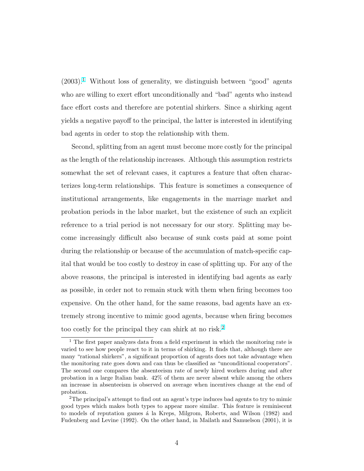$(2003).$ <sup>1</sup> Without loss of generality, we distinguish between "good" agents who are willing to exert effort unconditionally and "bad" agents who instead face effort costs and therefore are potential shirkers. Since a shirking agent yields a negative payoff to the principal, the latter is interested in identifying bad agents in order to stop the relationship with them.

Second, splitting from an agent must become more costly for the principal as the length of the relationship increases. Although this assumption restricts somewhat the set of relevant cases, it captures a feature that often characterizes long-term relationships. This feature is sometimes a consequence of institutional arrangements, like engagements in the marriage market and probation periods in the labor market, but the existence of such an explicit reference to a trial period is not necessary for our story. Splitting may become increasingly difficult also because of sunk costs paid at some point during the relationship or because of the accumulation of match-specific capital that would be too costly to destroy in case of splitting up. For any of the above reasons, the principal is interested in identifying bad agents as early as possible, in order not to remain stuck with them when firing becomes too expensive. On the other hand, for the same reasons, bad agents have an extremely strong incentive to mimic good agents, because when firing becomes too costly for the principal they can shirk at no risk.<sup>2</sup>

 $^{\rm 1}$  The first paper analyzes data from a field experiment in which the monitoring rate is varied to see how people react to it in terms of shirking. It finds that, although there are many "rational shirkers", a significant proportion of agents does not take advantage when the monitoring rate goes down and can thus be classified as "unconditional cooperators". The second one compares the absenteeism rate of newly hired workers during and after probation in a large Italian bank. 42% of them are never absent while among the others an increase in absenteeism is observed on average when incentives change at the end of probation.

<sup>&</sup>lt;sup>2</sup>The principal's attempt to find out an agent's type induces bad agents to try to mimic good types which makes both types to appear more similar. This feature is reminiscent to models of reputation games á la Kreps, Milgrom, Roberts, and Wilson (1982) and Fudenberg and Levine (1992). On the other hand, in Mailath and Samuelson (2001), it is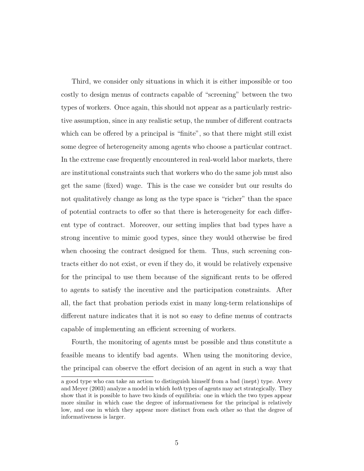Third, we consider only situations in which it is either impossible or too costly to design menus of contracts capable of "screening" between the two types of workers. Once again, this should not appear as a particularly restrictive assumption, since in any realistic setup, the number of different contracts which can be offered by a principal is "finite", so that there might still exist some degree of heterogeneity among agents who choose a particular contract. In the extreme case frequently encountered in real-world labor markets, there are institutional constraints such that workers who do the same job must also get the same (fixed) wage. This is the case we consider but our results do not qualitatively change as long as the type space is "richer" than the space of potential contracts to offer so that there is heterogeneity for each different type of contract. Moreover, our setting implies that bad types have a strong incentive to mimic good types, since they would otherwise be fired when choosing the contract designed for them. Thus, such screening contracts either do not exist, or even if they do, it would be relatively expensive for the principal to use them because of the significant rents to be offered to agents to satisfy the incentive and the participation constraints. After all, the fact that probation periods exist in many long-term relationships of different nature indicates that it is not so easy to define menus of contracts capable of implementing an efficient screening of workers.

Fourth, the monitoring of agents must be possible and thus constitute a feasible means to identify bad agents. When using the monitoring device, the principal can observe the effort decision of an agent in such a way that

a good type who can take an action to distinguish himself from a bad (inept) type. Avery and Meyer (2003) analyze a model in which both types of agents may act strategically. They show that it is possible to have two kinds of equilibria: one in which the two types appear more similar in which case the degree of informativeness for the principal is relatively low, and one in which they appear more distinct from each other so that the degree of informativeness is larger.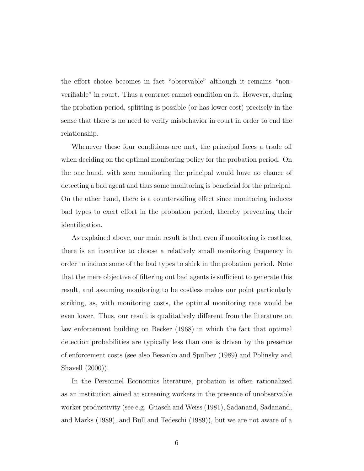the effort choice becomes in fact "observable" although it remains "nonverifiable" in court. Thus a contract cannot condition on it. However, during the probation period, splitting is possible (or has lower cost) precisely in the sense that there is no need to verify misbehavior in court in order to end the relationship.

Whenever these four conditions are met, the principal faces a trade off when deciding on the optimal monitoring policy for the probation period. On the one hand, with zero monitoring the principal would have no chance of detecting a bad agent and thus some monitoring is beneficial for the principal. On the other hand, there is a countervailing effect since monitoring induces bad types to exert effort in the probation period, thereby preventing their identification.

As explained above, our main result is that even if monitoring is costless, there is an incentive to choose a relatively small monitoring frequency in order to induce some of the bad types to shirk in the probation period. Note that the mere objective of filtering out bad agents is sufficient to generate this result, and assuming monitoring to be costless makes our point particularly striking, as, with monitoring costs, the optimal monitoring rate would be even lower. Thus, our result is qualitatively different from the literature on law enforcement building on Becker (1968) in which the fact that optimal detection probabilities are typically less than one is driven by the presence of enforcement costs (see also Besanko and Spulber (1989) and Polinsky and Shavell (2000)).

In the Personnel Economics literature, probation is often rationalized as an institution aimed at screening workers in the presence of unobservable worker productivity (see e.g. Guasch and Weiss (1981), Sadanand, Sadanand, and Marks (1989), and Bull and Tedeschi (1989)), but we are not aware of a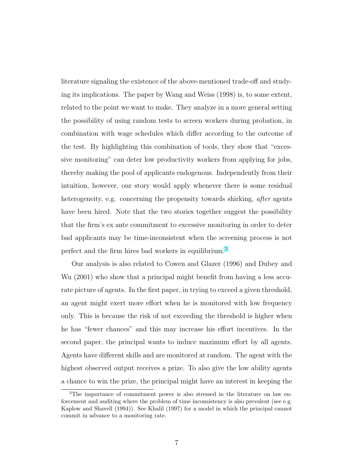literature signaling the existence of the above-mentioned trade-off and studying its implications. The paper by Wang and Weiss (1998) is, to some extent, related to the point we want to make. They analyze in a more general setting the possibility of using random tests to screen workers during probation, in combination with wage schedules which differ according to the outcome of the test. By highlighting this combination of tools, they show that "excessive monitoring" can deter low productivity workers from applying for jobs, thereby making the pool of applicants endogenous. Independently from their intuition, however, our story would apply whenever there is some residual heterogeneity, e.g. concerning the propensity towards shirking, *after* agents have been hired. Note that the two stories together suggest the possibility that the firm's ex ante commitment to excessive monitoring in order to deter bad applicants may be time-inconsistent when the screening process is not perfect and the firm hires bad workers in equilibrium.<sup>3</sup>

Our analysis is also related to Cowen and Glazer (1996) and Dubey and Wu (2001) who show that a principal might benefit from having a less accurate picture of agents. In the first paper, in trying to exceed a given threshold, an agent might exert more effort when he is monitored with low frequency only. This is because the risk of not exceeding the threshold is higher when he has "fewer chances" and this may increase his effort incentives. In the second paper, the principal wants to induce maximum effort by all agents. Agents have different skills and are monitored at random. The agent with the highest observed output receives a prize. To also give the low ability agents a chance to win the prize, the principal might have an interest in keeping the

<sup>&</sup>lt;sup>3</sup>The importance of commitment power is also stressed in the literature on law enforcement and auditing where the problem of time inconsistency is also prevalent (see e.g. Kaplow and Shavell (1994)). See Khalil (1997) for a model in which the principal cannot commit in advance to a monitoring rate.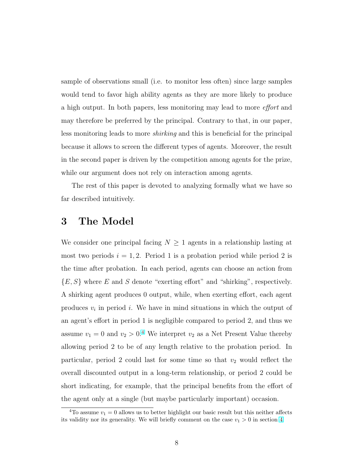<span id="page-10-0"></span>sample of observations small (i.e. to monitor less often) since large samples would tend to favor high ability agents as they are more likely to produce a high output. In both papers, less monitoring may lead to more effort and may therefore be preferred by the principal. Contrary to that, in our paper, less monitoring leads to more shirking and this is beneficial for the principal because it allows to screen the different types of agents. Moreover, the result in the second paper is driven by the competition among agents for the prize, while our argument does not rely on interaction among agents.

The rest of this paper is devoted to analyzing formally what we have so far described intuitively.

#### 3 The Model

We consider one principal facing  $N \geq 1$  agents in a relationship lasting at most two periods  $i = 1, 2$ . Period 1 is a probation period while period 2 is the time after probation. In each period, agents can choose an action from  ${E, S}$  where E and S denote "exerting effort" and "shirking", respectively. A shirking agent produces 0 output, while, when exerting effort, each agent produces  $v_i$  in period i. We have in mind situations in which the output of an agent's effort in period 1 is negligible compared to period 2, and thus we assume  $v_1 = 0$  and  $v_2 > 0.4$  We interpret  $v_2$  as a Net Present Value thereby allowing period 2 to be of any length relative to the probation period. In particular, period 2 could last for some time so that  $v_2$  would reflect the overall discounted output in a long-term relationship, or period 2 could be short indicating, for example, that the principal benefits from the effort of the agent only at a single (but maybe particularly important) occasion.

<sup>&</sup>lt;sup>4</sup>To assume  $v_1 = 0$  allows us to better highlight our basic result but this neither affects its validity nor its generality. We will briefly comment on the case  $v_1 > 0$  in section [4.](#page-21-0)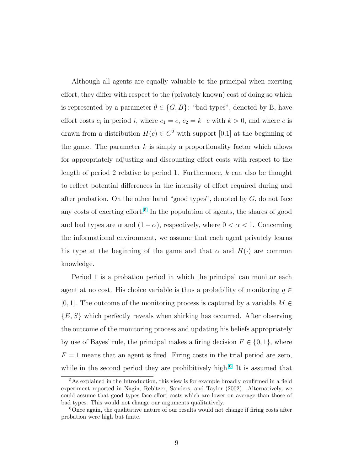Although all agents are equally valuable to the principal when exerting effort, they differ with respect to the (privately known) cost of doing so which is represented by a parameter  $\theta \in \{G, B\}$ : "bad types", denoted by B, have effort costs  $c_i$  in period i, where  $c_1 = c$ ,  $c_2 = k \cdot c$  with  $k > 0$ , and where c is drawn from a distribution  $H(c) \in C^2$  with support [0,1] at the beginning of the game. The parameter  $k$  is simply a proportionality factor which allows for appropriately adjusting and discounting effort costs with respect to the length of period 2 relative to period 1. Furthermore,  $k$  can also be thought to reflect potential differences in the intensity of effort required during and after probation. On the other hand "good types", denoted by  $G$ , do not face any costs of exerting effort.<sup>5</sup> In the population of agents, the shares of good and bad types are  $\alpha$  and  $(1 - \alpha)$ , respectively, where  $0 < \alpha < 1$ . Concerning the informational environment, we assume that each agent privately learns his type at the beginning of the game and that  $\alpha$  and  $H(\cdot)$  are common knowledge.

Period 1 is a probation period in which the principal can monitor each agent at no cost. His choice variable is thus a probability of monitoring  $q \in$ [0, 1]. The outcome of the monitoring process is captured by a variable  $M \in$  ${E, S}$  which perfectly reveals when shirking has occurred. After observing the outcome of the monitoring process and updating his beliefs appropriately by use of Bayes' rule, the principal makes a firing decision  $F \in \{0,1\}$ , where  $F = 1$  means that an agent is fired. Firing costs in the trial period are zero, while in the second period they are prohibitively high.<sup>6</sup> It is assumed that

<sup>5</sup>As explained in the Introduction, this view is for example broadly confirmed in a field experiment reported in Nagin, Rebitzer, Sanders, and Taylor (2002). Alternatively, we could assume that good types face effort costs which are lower on average than those of bad types. This would not change our arguments qualitatively.

<sup>&</sup>lt;sup>6</sup>Once again, the qualitative nature of our results would not change if firing costs after probation were high but finite.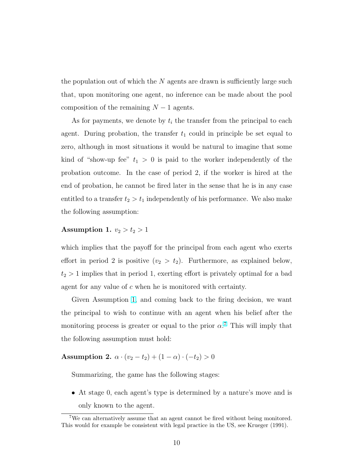<span id="page-12-0"></span>the population out of which the  $N$  agents are drawn is sufficiently large such that, upon monitoring one agent, no inference can be made about the pool composition of the remaining  $N-1$  agents.

As for payments, we denote by  $t_i$  the transfer from the principal to each agent. During probation, the transfer  $t_1$  could in principle be set equal to zero, although in most situations it would be natural to imagine that some kind of "show-up fee"  $t_1 > 0$  is paid to the worker independently of the probation outcome. In the case of period 2, if the worker is hired at the end of probation, he cannot be fired later in the sense that he is in any case entitled to a transfer  $t_2 > t_1$  independently of his performance. We also make the following assumption:

#### Assumption 1.  $v_2 > t_2 > 1$

which implies that the payoff for the principal from each agent who exerts effort in period 2 is positive  $(v_2 > t_2)$ . Furthermore, as explained below,  $t_2 > 1$  implies that in period 1, exerting effort is privately optimal for a bad agent for any value of  $c$  when he is monitored with certainty.

Given Assumption 1, and coming back to the firing decision, we want the principal to wish to continue with an agent when his belief after the monitoring process is greater or equal to the prior  $\alpha$ <sup>7</sup>. This will imply that the following assumption must hold:

Assumption 2.  $\alpha \cdot (v_2 - t_2) + (1 - \alpha) \cdot (-t_2) > 0$ 

Summarizing, the game has the following stages:

• At stage 0, each agent's type is determined by a nature's move and is only known to the agent.

<sup>7</sup>We can alternatively assume that an agent cannot be fired without being monitored. This would for example be consistent with legal practice in the US, see Krueger (1991).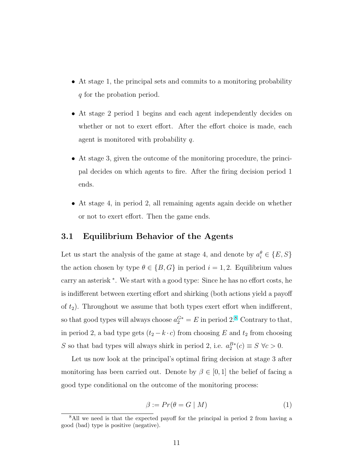- At stage 1, the principal sets and commits to a monitoring probability q for the probation period.
- At stage 2 period 1 begins and each agent independently decides on whether or not to exert effort. After the effort choice is made, each agent is monitored with probability  $q$ .
- At stage 3, given the outcome of the monitoring procedure, the principal decides on which agents to fire. After the firing decision period 1 ends.
- At stage 4, in period 2, all remaining agents again decide on whether or not to exert effort. Then the game ends.

#### 3.1 Equilibrium Behavior of the Agents

Let us start the analysis of the game at stage 4, and denote by  $a_i^{\theta} \in \{E, S\}$ the action chosen by type  $\theta \in \{B, G\}$  in period  $i = 1, 2$ . Equilibrium values carry an asterisk <sup>∗</sup> . We start with a good type: Since he has no effort costs, he is indifferent between exerting effort and shirking (both actions yield a payoff of  $t_2$ ). Throughout we assume that both types exert effort when indifferent, so that good types will always choose  $a_2^{G*} = E$  in period 2.<sup>8</sup> Contrary to that, in period 2, a bad type gets  $(t_2 - k \cdot c)$  from choosing E and  $t_2$  from choosing S so that bad types will always shirk in period 2, i.e.  $a_2^{B*}(c) \equiv S \ \forall c > 0$ .

Let us now look at the principal's optimal firing decision at stage 3 after monitoring has been carried out. Denote by  $\beta \in [0, 1]$  the belief of facing a good type conditional on the outcome of the monitoring process:

$$
\beta := Pr(\theta = G \mid M) \tag{1}
$$

<sup>8</sup>All we need is that the expected payoff for the principal in period 2 from having a good (bad) type is positive (negative).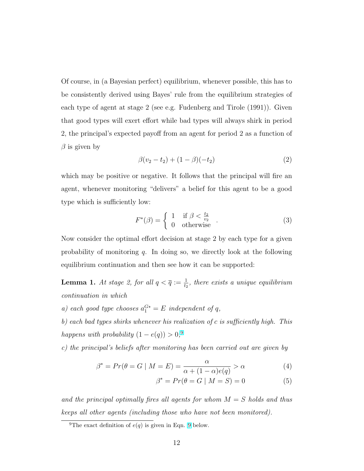<span id="page-14-0"></span>Of course, in (a Bayesian perfect) equilibrium, whenever possible, this has to be consistently derived using Bayes' rule from the equilibrium strategies of each type of agent at stage 2 (see e.g. Fudenberg and Tirole (1991)). Given that good types will exert effort while bad types will always shirk in period 2, the principal's expected payoff from an agent for period 2 as a function of  $\beta$  is given by

$$
\beta(v_2 - t_2) + (1 - \beta)(-t_2) \tag{2}
$$

which may be positive or negative. It follows that the principal will fire an agent, whenever monitoring "delivers" a belief for this agent to be a good type which is sufficiently low:

$$
F^*(\beta) = \begin{cases} 1 & \text{if } \beta < \frac{t_2}{v_2} \\ 0 & \text{otherwise} \end{cases} . \tag{3}
$$

Now consider the optimal effort decision at stage 2 by each type for a given probability of monitoring q. In doing so, we directly look at the following equilibrium continuation and then see how it can be supported:

**Lemma 1.** At stage 2, for all  $q < \overline{q} := \frac{1}{t_2}$ , there exists a unique equilibrium continuation in which

a) each good type chooses  $a_1^{G*} = E$  independent of q,

b) each bad types shirks whenever his realization of  $c$  is sufficiently high. This happens with probability  $(1-e(q)) > 0$ ,<sup>9</sup>

c) the principal's beliefs after monitoring has been carried out are given by

$$
\beta^* = Pr(\theta = G \mid M = E) = \frac{\alpha}{\alpha + (1 - \alpha)e(q)} > \alpha \tag{4}
$$

$$
\beta^* = Pr(\theta = G \mid M = S) = 0 \tag{5}
$$

and the principal optimally fires all agents for whom  $M = S$  holds and thus keeps all other agents (including those who have not been monitored).

<sup>&</sup>lt;sup>[9](#page-17-0)</sup>The exact definition of  $e(q)$  is given in Eqn. 9 below.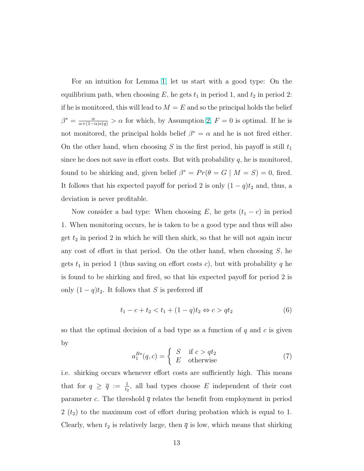For an intuition for Lemma [1,](#page-14-0) let us start with a good type: On the equilibrium path, when choosing E, he gets  $t_1$  in period 1, and  $t_2$  in period 2: if he is monitored, this will lead to  $M = E$  and so the principal holds the belief  $\beta^* = \frac{\alpha}{\alpha + (1-\alpha)e(q)} > \alpha$  for which, by Assumption [2,](#page-12-0)  $F = 0$  is optimal. If he is not monitored, the principal holds belief  $\beta^* = \alpha$  and he is not fired either. On the other hand, when choosing  $S$  in the first period, his payoff is still  $t_1$ since he does not save in effort costs. But with probability  $q$ , he is monitored, found to be shirking and, given belief  $\beta^* = Pr(\theta = G \mid M = S) = 0$ , fired. It follows that his expected payoff for period 2 is only  $(1 - q)t_2$  and, thus, a deviation is never profitable.

Now consider a bad type: When choosing E, he gets  $(t_1 - c)$  in period 1. When monitoring occurs, he is taken to be a good type and thus will also get  $t_2$  in period 2 in which he will then shirk, so that he will not again incur any cost of effort in that period. On the other hand, when choosing  $S$ , he gets  $t_1$  in period 1 (thus saving on effort costs c), but with probability q he is found to be shirking and fired, so that his expected payoff for period 2 is only  $(1 - q)t_2$ . It follows that S is preferred iff

$$
t_1 - c + t_2 < t_1 + (1 - q)t_2 \Leftrightarrow c > qt_2 \tag{6}
$$

so that the optimal decision of a bad type as a function of  $q$  and  $c$  is given by

$$
a_1^{B*}(q,c) = \begin{cases} S & \text{if } c > qt_2 \\ E & \text{otherwise} \end{cases}
$$
 (7)

i.e. shirking occurs whenever effort costs are sufficiently high. This means that for  $q \geq \overline{q} := \frac{1}{t_2}$ , all bad types choose E independent of their cost parameter c. The threshold  $\bar{q}$  relates the benefit from employment in period  $2(t_2)$  to the maximum cost of effort during probation which is equal to 1. Clearly, when  $t_2$  is relatively large, then  $\bar{q}$  is low, which means that shirking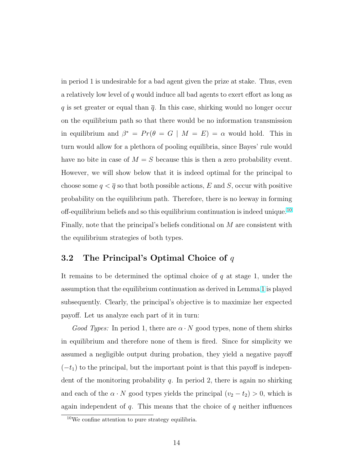in period 1 is undesirable for a bad agent given the prize at stake. Thus, even a relatively low level of q would induce all bad agents to exert effort as long as q is set greater or equal than  $\bar{q}$ . In this case, shirking would no longer occur on the equilibrium path so that there would be no information transmission in equilibrium and  $\beta^* = Pr(\theta = G \mid M = E) = \alpha$  would hold. This in turn would allow for a plethora of pooling equilibria, since Bayes' rule would have no bite in case of  $M = S$  because this is then a zero probability event. However, we will show below that it is indeed optimal for the principal to choose some  $q < \overline{q}$  so that both possible actions, E and S, occur with positive probability on the equilibrium path. Therefore, there is no leeway in forming off-equilibrium beliefs and so this equilibrium continuation is indeed unique.<sup>10</sup> Finally, note that the principal's beliefs conditional on M are consistent with the equilibrium strategies of both types.

#### 3.2 The Principal's Optimal Choice of  $q$

It remains to be determined the optimal choice of  $q$  at stage 1, under the assumption that the equilibrium continuation as derived in Lemma [1](#page-14-0) is played subsequently. Clearly, the principal's objective is to maximize her expected payoff. Let us analyze each part of it in turn:

Good Types: In period 1, there are  $\alpha \cdot N$  good types, none of them shirks in equilibrium and therefore none of them is fired. Since for simplicity we assumed a negligible output during probation, they yield a negative payoff  $(-t_1)$  to the principal, but the important point is that this payoff is independent of the monitoring probability  $q$ . In period 2, there is again no shirking and each of the  $\alpha \cdot N$  good types yields the principal  $(v_2 - t_2) > 0$ , which is again independent of  $q$ . This means that the choice of  $q$  neither influences

 $^{10}\mathrm{We}$  confine attention to pure strategy equilibria.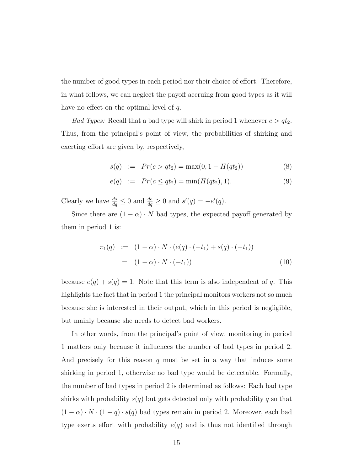<span id="page-17-0"></span>the number of good types in each period nor their choice of effort. Therefore, in what follows, we can neglect the payoff accruing from good types as it will have no effect on the optimal level of q.

*Bad Types:* Recall that a bad type will shirk in period 1 whenever  $c > qt_2$ . Thus, from the principal's point of view, the probabilities of shirking and exerting effort are given by, respectively,

$$
s(q) := Pr(c > qt_2) = \max(0, 1 - H(qt_2))
$$
\n(8)

$$
e(q) := Pr(c \le qt_2) = \min(H(qt_2), 1). \tag{9}
$$

Clearly we have  $\frac{ds}{dq} \leq 0$  and  $\frac{de}{dq} \geq 0$  and  $s'(q) = -e'(q)$ .

Since there are  $(1 - \alpha) \cdot N$  bad types, the expected payoff generated by them in period 1 is:

$$
\pi_1(q) := (1 - \alpha) \cdot N \cdot (e(q) \cdot (-t_1) + s(q) \cdot (-t_1))
$$
  
= 
$$
(1 - \alpha) \cdot N \cdot (-t_1))
$$
 (10)

because  $e(q) + s(q) = 1$ . Note that this term is also independent of q. This highlights the fact that in period 1 the principal monitors workers not so much because she is interested in their output, which in this period is negligible, but mainly because she needs to detect bad workers.

In other words, from the principal's point of view, monitoring in period 1 matters only because it influences the number of bad types in period 2. And precisely for this reason  $q$  must be set in a way that induces some shirking in period 1, otherwise no bad type would be detectable. Formally, the number of bad types in period 2 is determined as follows: Each bad type shirks with probability  $s(q)$  but gets detected only with probability q so that  $(1 - \alpha) \cdot N \cdot (1 - q) \cdot s(q)$  bad types remain in period 2. Moreover, each bad type exerts effort with probability  $e(q)$  and is thus not identified through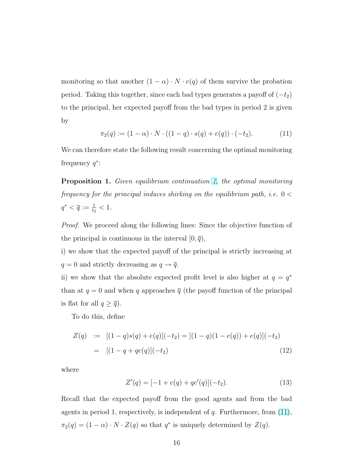<span id="page-18-0"></span>monitoring so that another  $(1 - \alpha) \cdot N \cdot e(q)$  of them survive the probation period. Taking this together, since each bad types generates a payoff of  $(-t_2)$ to the principal, her expected payoff from the bad types in period 2 is given by

$$
\pi_2(q) := (1 - \alpha) \cdot N \cdot ((1 - q) \cdot s(q) + e(q)) \cdot (-t_2). \tag{11}
$$

We can therefore state the following result concerning the optimal monitoring frequency  $q^*$ :

Proposition 1. Given equilibrium continuation [1,](#page-14-0) the optimal monitoring frequency for the principal induces shirking on the equilibrium path, i.e.  $0 <$  $q^* < \overline{q} := \frac{1}{t_2} < 1.$ 

Proof. We proceed along the following lines: Since the objective function of the principal is continuous in the interval  $[0, \overline{q})$ ,

i) we show that the expected payoff of the principal is strictly increasing at  $q = 0$  and strictly decreasing as  $q \rightarrow \overline{q}$ .

ii) we show that the absolute expected profit level is also higher at  $q = q^*$ than at  $q = 0$  and when q approaches  $\overline{q}$  (the payoff function of the principal is flat for all  $q \geq \overline{q}$ ).

To do this, define

$$
Z(q) := [(1-q)s(q) + e(q)](-t_2) = [(1-q)(1-e(q)) + e(q)](-t_2)
$$
  
= [(1-q+qe(q)](-t\_2) (12)

where

$$
Z'(q) = [-1 + e(q) + qe'(q)](-t_2).
$$
 (13)

Recall that the expected payoff from the good agents and from the bad agents in period 1, respectively, is independent of  $q$ . Furthermore, from (11),  $\pi_2(q) = (1 - \alpha) \cdot N \cdot Z(q)$  so that  $q^*$  is uniquely determined by  $Z(q)$ .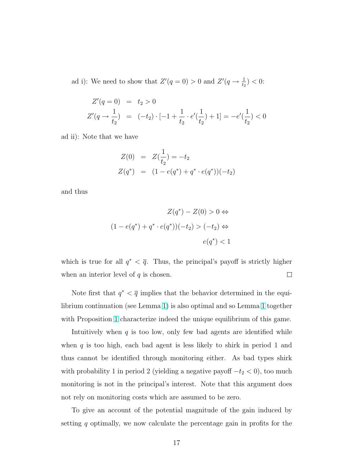ad i): We need to show that  $Z'(q=0) > 0$  and  $Z'(q \to \frac{1}{t_2}) < 0$ :

$$
Z'(q = 0) = t_2 > 0
$$
  
\n
$$
Z'(q \to \frac{1}{t_2}) = (-t_2) \cdot [-1 + \frac{1}{t_2} \cdot e'(\frac{1}{t_2}) + 1] = -e'(\frac{1}{t_2}) < 0
$$

ad ii): Note that we have

$$
Z(0) = Z(\frac{1}{t_2}) = -t_2
$$
  
\n
$$
Z(q^*) = (1 - e(q^*) + q^* \cdot e(q^*))(-t_2)
$$

and thus

$$
Z(q^*) - Z(0) > 0 \Leftrightarrow
$$
  

$$
(1 - e(q^*) + q^* \cdot e(q^*)) (-t_2) > (-t_2) \Leftrightarrow
$$
  

$$
e(q^*) < 1
$$

which is true for all  $q^* < \bar{q}$ . Thus, the principal's payoff is strictly higher when an interior level of  $q$  is chosen.  $\Box$ 

Note first that  $q^* < \overline{q}$  implies that the behavior determined in the equilibrium continuation (see Lemma [1\)](#page-14-0) is also optimal and so Lemma [1](#page-14-0) together with Proposition [1](#page-18-0) characterize indeed the unique equilibrium of this game.

Intuitively when  $q$  is too low, only few bad agents are identified while when  $q$  is too high, each bad agent is less likely to shirk in period 1 and thus cannot be identified through monitoring either. As bad types shirk with probability 1 in period 2 (yielding a negative payoff  $-t_2 < 0$ ), too much monitoring is not in the principal's interest. Note that this argument does not rely on monitoring costs which are assumed to be zero.

To give an account of the potential magnitude of the gain induced by setting q optimally, we now calculate the percentage gain in profits for the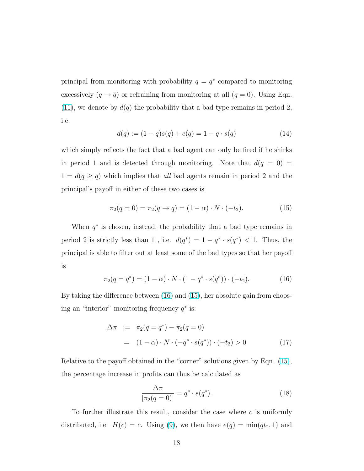<span id="page-20-0"></span>principal from monitoring with probability  $q = q^*$  compared to monitoring excessively  $(q \to \overline{q})$  or refraining from monitoring at all  $(q = 0)$ . Using Eqn.  $(11)$ , we denote by  $d(q)$  the probability that a bad type remains in period 2, i.e.

$$
d(q) := (1 - q)s(q) + e(q) = 1 - q \cdot s(q)
$$
\n(14)

which simply reflects the fact that a bad agent can only be fired if he shirks in period 1 and is detected through monitoring. Note that  $d(q = 0)$  =  $1 = d(q \geq \overline{q})$  which implies that all bad agents remain in period 2 and the principal's payoff in either of these two cases is

$$
\pi_2(q=0) = \pi_2(q \to \overline{q}) = (1-\alpha) \cdot N \cdot (-t_2). \tag{15}
$$

When  $q^*$  is chosen, instead, the probability that a bad type remains in period 2 is strictly less than 1, i.e.  $d(q^*) = 1 - q^* \cdot s(q^*) < 1$ . Thus, the principal is able to filter out at least some of the bad types so that her payoff is

$$
\pi_2(q = q^*) = (1 - \alpha) \cdot N \cdot (1 - q^* \cdot s(q^*)) \cdot (-t_2). \tag{16}
$$

By taking the difference between (16) and (15), her absolute gain from choosing an "interior" monitoring frequency  $q^*$  is:

$$
\Delta \pi := \pi_2(q = q^*) - \pi_2(q = 0)
$$
  
=  $(1 - \alpha) \cdot N \cdot (-q^* \cdot s(q^*)) \cdot (-t_2) > 0$  (17)

Relative to the payoff obtained in the "corner" solutions given by Eqn. (15), the percentage increase in profits can thus be calculated as

$$
\frac{\Delta \pi}{|\pi_2(q=0)|} = q^* \cdot s(q^*).
$$
 (18)

To further illustrate this result, consider the case where  $c$  is uniformly distributed, i.e.  $H(c) = c$ . Using [\(9\)](#page-17-0), we then have  $e(q) = \min(q t_2, 1)$  and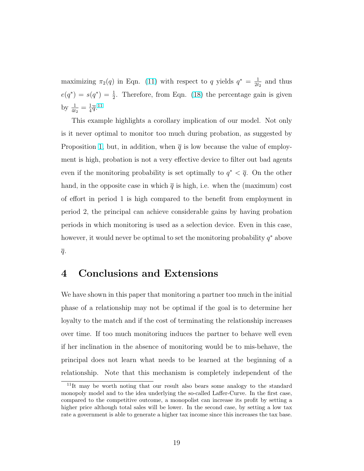<span id="page-21-0"></span>maximizing  $\pi_2(q)$  in Eqn. [\(11\)](#page-18-0) with respect to q yields  $q^* = \frac{1}{2t}$  $\frac{1}{2t_2}$  and thus  $e(q^*) = s(q^*) = \frac{1}{2}$ . Therefore, from Eqn. [\(18\)](#page-20-0) the percentage gain is given by  $\frac{1}{4t_2} = \frac{1}{4}$  $\frac{1}{4}\overline{q}$ .<sup>11</sup>

This example highlights a corollary implication of our model. Not only is it never optimal to monitor too much during probation, as suggested by Proposition [1,](#page-18-0) but, in addition, when  $\bar{q}$  is low because the value of employment is high, probation is not a very effective device to filter out bad agents even if the monitoring probability is set optimally to  $q^* < \bar{q}$ . On the other hand, in the opposite case in which  $\bar{q}$  is high, i.e. when the (maximum) cost of effort in period 1 is high compared to the benefit from employment in period 2, the principal can achieve considerable gains by having probation periods in which monitoring is used as a selection device. Even in this case, however, it would never be optimal to set the monitoring probability  $q^*$  above  $\overline{q}$ .

#### 4 Conclusions and Extensions

We have shown in this paper that monitoring a partner too much in the initial phase of a relationship may not be optimal if the goal is to determine her loyalty to the match and if the cost of terminating the relationship increases over time. If too much monitoring induces the partner to behave well even if her inclination in the absence of monitoring would be to mis-behave, the principal does not learn what needs to be learned at the beginning of a relationship. Note that this mechanism is completely independent of the

<sup>&</sup>lt;sup>11</sup>It may be worth noting that our result also bears some analogy to the standard monopoly model and to the idea underlying the so-called Laffer-Curve. In the first case, compared to the competitive outcome, a monopolist can increase its profit by setting a higher price although total sales will be lower. In the second case, by setting a low tax rate a government is able to generate a higher tax income since this increases the tax base.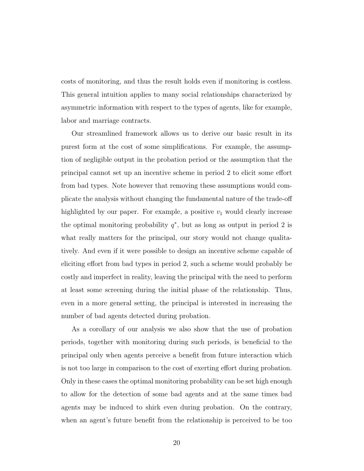costs of monitoring, and thus the result holds even if monitoring is costless. This general intuition applies to many social relationships characterized by asymmetric information with respect to the types of agents, like for example, labor and marriage contracts.

Our streamlined framework allows us to derive our basic result in its purest form at the cost of some simplifications. For example, the assumption of negligible output in the probation period or the assumption that the principal cannot set up an incentive scheme in period 2 to elicit some effort from bad types. Note however that removing these assumptions would complicate the analysis without changing the fundamental nature of the trade-off highlighted by our paper. For example, a positive  $v_1$  would clearly increase the optimal monitoring probability  $q^*$ , but as long as output in period 2 is what really matters for the principal, our story would not change qualitatively. And even if it were possible to design an incentive scheme capable of eliciting effort from bad types in period 2, such a scheme would probably be costly and imperfect in reality, leaving the principal with the need to perform at least some screening during the initial phase of the relationship. Thus, even in a more general setting, the principal is interested in increasing the number of bad agents detected during probation.

As a corollary of our analysis we also show that the use of probation periods, together with monitoring during such periods, is beneficial to the principal only when agents perceive a benefit from future interaction which is not too large in comparison to the cost of exerting effort during probation. Only in these cases the optimal monitoring probability can be set high enough to allow for the detection of some bad agents and at the same times bad agents may be induced to shirk even during probation. On the contrary, when an agent's future benefit from the relationship is perceived to be too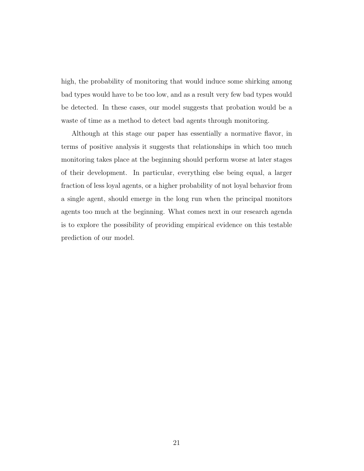high, the probability of monitoring that would induce some shirking among bad types would have to be too low, and as a result very few bad types would be detected. In these cases, our model suggests that probation would be a waste of time as a method to detect bad agents through monitoring.

Although at this stage our paper has essentially a normative flavor, in terms of positive analysis it suggests that relationships in which too much monitoring takes place at the beginning should perform worse at later stages of their development. In particular, everything else being equal, a larger fraction of less loyal agents, or a higher probability of not loyal behavior from a single agent, should emerge in the long run when the principal monitors agents too much at the beginning. What comes next in our research agenda is to explore the possibility of providing empirical evidence on this testable prediction of our model.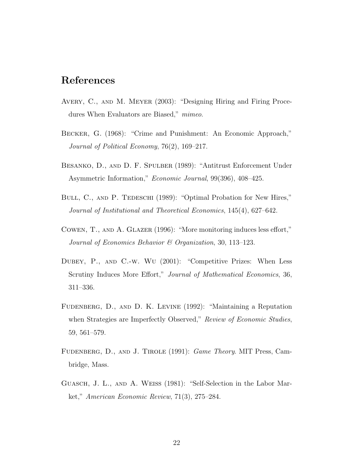#### References

- Avery, C., and M. Meyer (2003): "Designing Hiring and Firing Procedures When Evaluators are Biased," mimeo.
- Becker, G. (1968): "Crime and Punishment: An Economic Approach," Journal of Political Economy, 76(2), 169–217.
- Besanko, D., and D. F. Spulber (1989): "Antitrust Enforcement Under Asymmetric Information," Economic Journal, 99(396), 408–425.
- BULL, C., AND P. TEDESCHI (1989): "Optimal Probation for New Hires," Journal of Institutional and Theoretical Economics, 145(4), 627–642.
- Cowen, T., and A. Glazer (1996): "More monitoring induces less effort," Journal of Economics Behavior & Organization, 30, 113–123.
- Dubey, P., and C.-w. Wu (2001): "Competitive Prizes: When Less Scrutiny Induces More Effort," Journal of Mathematical Economics, 36, 311–336.
- Fudenberg, D., and D. K. Levine (1992): "Maintaining a Reputation when Strategies are Imperfectly Observed," Review of Economic Studies, 59, 561–579.
- FUDENBERG, D., AND J. TIROLE (1991): *Game Theory*. MIT Press, Cambridge, Mass.
- Guasch, J. L., and A. Weiss (1981): "Self-Selection in the Labor Market," American Economic Review, 71(3), 275–284.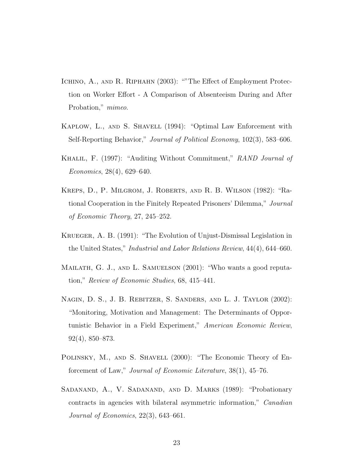- ICHINO, A., AND R. RIPHAHN (2003): "The Effect of Employment Protection on Worker Effort - A Comparison of Absenteeism During and After Probation," mimeo.
- Kaplow, L., and S. Shavell (1994): "Optimal Law Enforcement with Self-Reporting Behavior," Journal of Political Economy, 102(3), 583–606.
- KHALIL, F. (1997): "Auditing Without Commitment," RAND Journal of Economics, 28(4), 629–640.
- Kreps, D., P. Milgrom, J. Roberts, and R. B. Wilson (1982): "Rational Cooperation in the Finitely Repeated Prisoners' Dilemma," Journal of Economic Theory, 27, 245–252.
- Krueger, A. B. (1991): "The Evolution of Unjust-Dismissal Legislation in the United States," Industrial and Labor Relations Review, 44(4), 644–660.
- Mailath, G. J., and L. Samuelson (2001): "Who wants a good reputation," Review of Economic Studies, 68, 415–441.
- Nagin, D. S., J. B. Rebitzer, S. Sanders, and L. J. Taylor (2002): "Monitoring, Motivation and Management: The Determinants of Opportunistic Behavior in a Field Experiment," American Economic Review, 92(4), 850–873.
- POLINSKY, M., AND S. SHAVELL (2000): "The Economic Theory of Enforcement of Law," Journal of Economic Literature, 38(1), 45–76.
- Sadanand, A., V. Sadanand, and D. Marks (1989): "Probationary contracts in agencies with bilateral asymmetric information," Canadian Journal of Economics, 22(3), 643–661.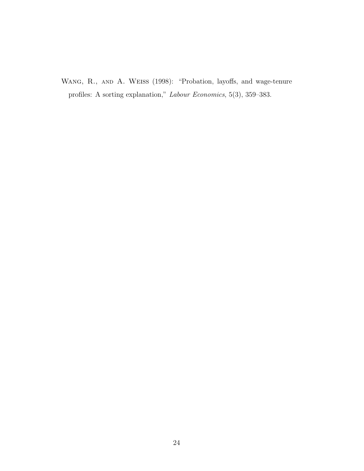Wang, R., and A. Weiss (1998): "Probation, layoffs, and wage-tenure profiles: A sorting explanation," Labour Economics, 5(3), 359–383.